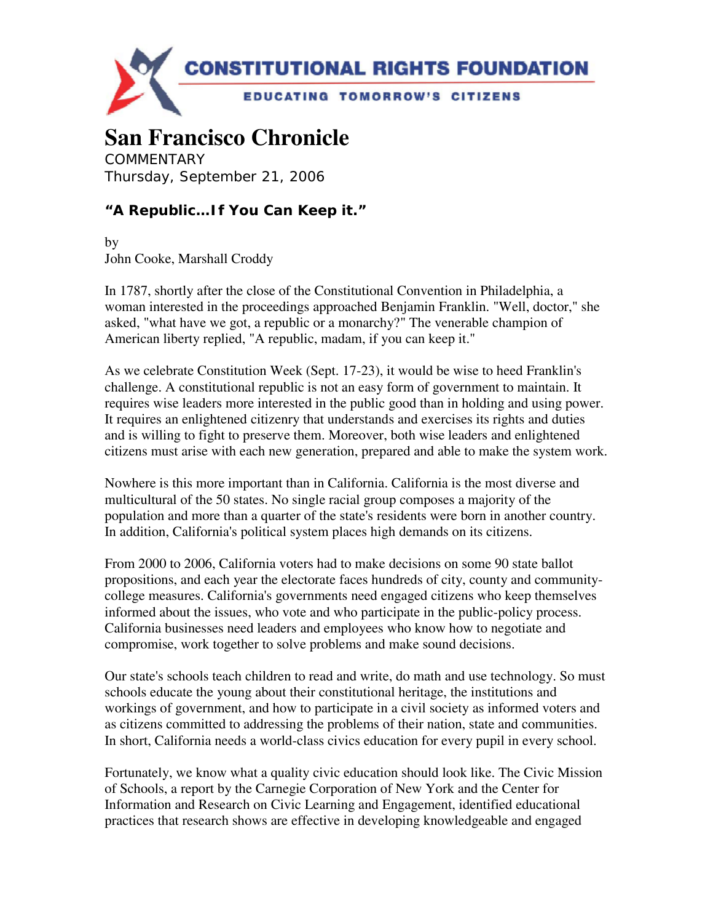

## **San Francisco Chronicle**

**COMMENTARY** Thursday, September 21, 2006

## **"A Republic…If You Can Keep it."**

by John Cooke, Marshall Croddy

In 1787, shortly after the close of the Constitutional Convention in Philadelphia, a woman interested in the proceedings approached Benjamin Franklin. "Well, doctor," she asked, "what have we got, a republic or a monarchy?" The venerable champion of American liberty replied, "A republic, madam, if you can keep it."

As we celebrate Constitution Week (Sept. 17-23), it would be wise to heed Franklin's challenge. A constitutional republic is not an easy form of government to maintain. It requires wise leaders more interested in the public good than in holding and using power. It requires an enlightened citizenry that understands and exercises its rights and duties and is willing to fight to preserve them. Moreover, both wise leaders and enlightened citizens must arise with each new generation, prepared and able to make the system work.

Nowhere is this more important than in California. California is the most diverse and multicultural of the 50 states. No single racial group composes a majority of the population and more than a quarter of the state's residents were born in another country. In addition, California's political system places high demands on its citizens.

From 2000 to 2006, California voters had to make decisions on some 90 state ballot propositions, and each year the electorate faces hundreds of city, county and communitycollege measures. California's governments need engaged citizens who keep themselves informed about the issues, who vote and who participate in the public-policy process. California businesses need leaders and employees who know how to negotiate and compromise, work together to solve problems and make sound decisions.

Our state's schools teach children to read and write, do math and use technology. So must schools educate the young about their constitutional heritage, the institutions and workings of government, and how to participate in a civil society as informed voters and as citizens committed to addressing the problems of their nation, state and communities. In short, California needs a world-class civics education for every pupil in every school.

Fortunately, we know what a quality civic education should look like. The Civic Mission of Schools, a report by the Carnegie Corporation of New York and the Center for Information and Research on Civic Learning and Engagement, identified educational practices that research shows are effective in developing knowledgeable and engaged